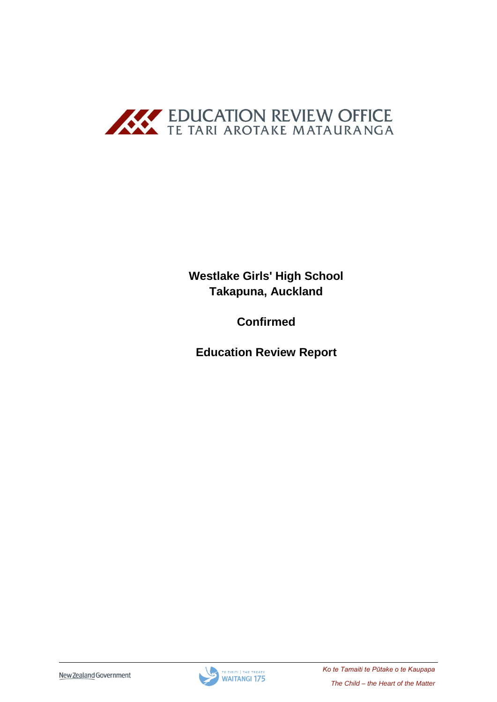

**Westlake Girls' High School Takapuna, Auckland**

**Confirmed**

**Education Review Report**

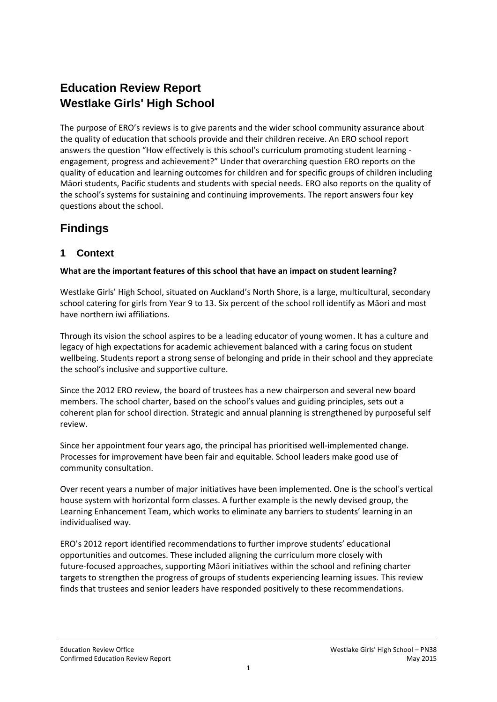# **Education Review Report Westlake Girls' High School**

The purpose of ERO's reviews is to give parents and the wider school community assurance about the quality of education that schools provide and their children receive. An ERO school report answers the question "How effectively is this school's curriculum promoting student learning engagement, progress and achievement?" Under that overarching question ERO reports on the quality of education and learning outcomes for children and for specific groups of children including Māori students, Pacific students and students with special needs. ERO also reports on the quality of the school's systems for sustaining and continuing improvements. The report answers four key questions about the school.

# **Findings**

# **1 Context**

### **What are the important features of this school that have an impact on student learning?**

Westlake Girls' High School, situated on Auckland's North Shore, is a large, multicultural, secondary school catering for girls from Year 9 to 13. Six percent of the school roll identify as Māori and most have northern iwi affiliations.

Through its vision the school aspires to be a leading educator of young women. It has a culture and legacy of high expectations for academic achievement balanced with a caring focus on student wellbeing. Students report a strong sense of belonging and pride in their school and they appreciate the school's inclusive and supportive culture.

Since the 2012 ERO review, the board of trustees has a new chairperson and several new board members. The school charter, based on the school's values and guiding principles, sets out a coherent plan for school direction. Strategic and annual planning is strengthened by purposeful self review.

Since her appointment four years ago, the principal has prioritised well-implemented change. Processes for improvement have been fair and equitable. School leaders make good use of community consultation.

Over recent years a number of major initiatives have been implemented. One is the school's vertical house system with horizontal form classes. A further example is the newly devised group, the Learning Enhancement Team, which works to eliminate any barriers to students' learning in an individualised way.

ERO's 2012 report identified recommendations to further improve students' educational opportunities and outcomes. These included aligning the curriculum more closely with future-focused approaches, supporting Māori initiatives within the school and refining charter targets to strengthen the progress of groups of students experiencing learning issues. This review finds that trustees and senior leaders have responded positively to these recommendations.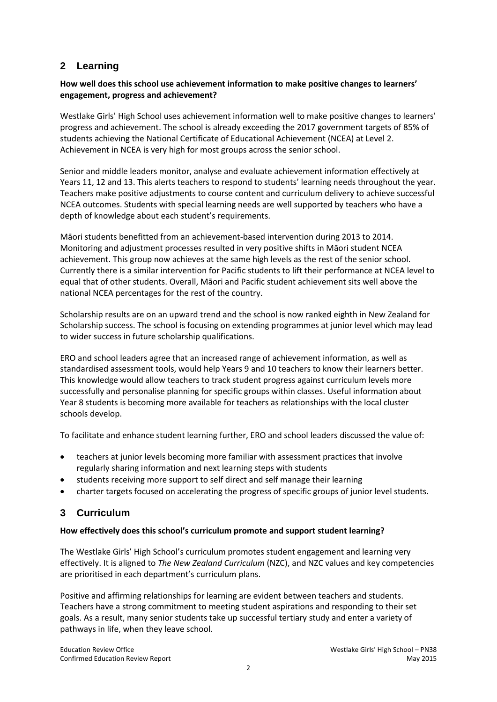# **2 Learning**

### **How well does this school use achievement information to make positive changes to learners' engagement, progress and achievement?**

Westlake Girls' High School uses achievement information well to make positive changes to learners' progress and achievement. The school is already exceeding the 2017 government targets of 85% of students achieving the National Certificate of Educational Achievement (NCEA) at Level 2. Achievement in NCEA is very high for most groups across the senior school.

Senior and middle leaders monitor, analyse and evaluate achievement information effectively at Years 11, 12 and 13. This alerts teachers to respond to students' learning needs throughout the year. Teachers make positive adjustments to course content and curriculum delivery to achieve successful NCEA outcomes. Students with special learning needs are well supported by teachers who have a depth of knowledge about each student's requirements.

Māori students benefitted from an achievement-based intervention during 2013 to 2014. Monitoring and adjustment processes resulted in very positive shifts in Māori student NCEA achievement. This group now achieves at the same high levels as the rest of the senior school. Currently there is a similar intervention for Pacific students to lift their performance at NCEA level to equal that of other students. Overall, Māori and Pacific student achievement sits well above the national NCEA percentages for the rest of the country.

Scholarship results are on an upward trend and the school is now ranked eighth in New Zealand for Scholarship success. The school is focusing on extending programmes at junior level which may lead to wider success in future scholarship qualifications.

ERO and school leaders agree that an increased range of achievement information, as well as standardised assessment tools, would help Years 9 and 10 teachers to know their learners better. This knowledge would allow teachers to track student progress against curriculum levels more successfully and personalise planning for specific groups within classes. Useful information about Year 8 students is becoming more available for teachers as relationships with the local cluster schools develop.

To facilitate and enhance student learning further, ERO and school leaders discussed the value of:

- teachers at junior levels becoming more familiar with assessment practices that involve regularly sharing information and next learning steps with students
- students receiving more support to self direct and self manage their learning
- charter targets focused on accelerating the progress of specific groups of junior level students.

## **3 Curriculum**

### **How effectively does this school's curriculum promote and support student learning?**

The Westlake Girls' High School's curriculum promotes student engagement and learning very effectively. It is aligned to *The New Zealand Curriculum* (NZC), and NZC values and key competencies are prioritised in each department's curriculum plans.

Positive and affirming relationships for learning are evident between teachers and students. Teachers have a strong commitment to meeting student aspirations and responding to their set goals. As a result, many senior students take up successful tertiary study and enter a variety of pathways in life, when they leave school.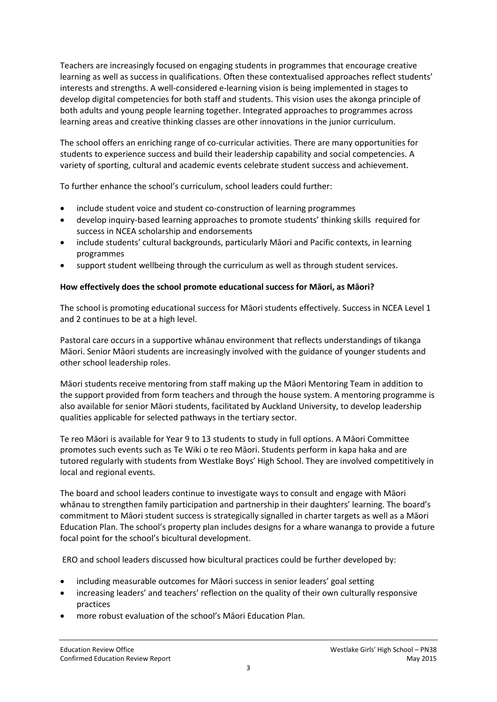Teachers are increasingly focused on engaging students in programmes that encourage creative learning as well as success in qualifications. Often these contextualised approaches reflect students' interests and strengths. A well-considered e-learning vision is being implemented in stages to develop digital competencies for both staff and students. This vision uses the akonga principle of both adults and young people learning together. Integrated approaches to programmes across learning areas and creative thinking classes are other innovations in the junior curriculum.

The school offers an enriching range of co-curricular activities. There are many opportunities for students to experience success and build their leadership capability and social competencies. A variety of sporting, cultural and academic events celebrate student success and achievement.

To further enhance the school's curriculum, school leaders could further:

- include student voice and student co-construction of learning programmes
- develop inquiry-based learning approaches to promote students' thinking skills required for success in NCEA scholarship and endorsements
- include students' cultural backgrounds, particularly Māori and Pacific contexts, in learning programmes
- support student wellbeing through the curriculum as well as through student services.

#### **How effectively does the school promote educational success for Māori, as Māori?**

The school is promoting educational success for Māori students effectively. Success in NCEA Level 1 and 2 continues to be at a high level.

Pastoral care occurs in a supportive whānau environment that reflects understandings of tikanga Māori. Senior Māori students are increasingly involved with the guidance of younger students and other school leadership roles.

Māori students receive mentoring from staff making up the Māori Mentoring Team in addition to the support provided from form teachers and through the house system. A mentoring programme is also available for senior Māori students, facilitated by Auckland University, to develop leadership qualities applicable for selected pathways in the tertiary sector.

Te reo Māori is available for Year 9 to 13 students to study in full options. A Māori Committee promotes such events such as Te Wiki o te reo Māori. Students perform in kapa haka and are tutored regularly with students from Westlake Boys' High School. They are involved competitively in local and regional events.

The board and school leaders continue to investigate ways to consult and engage with Māori whānau to strengthen family participation and partnership in their daughters' learning. The board's commitment to Māori student success is strategically signalled in charter targets as well as a Māori Education Plan. The school's property plan includes designs for a whare wananga to provide a future focal point for the school's bicultural development.

ERO and school leaders discussed how bicultural practices could be further developed by:

- including measurable outcomes for Māori success in senior leaders' goal setting
- increasing leaders' and teachers' reflection on the quality of their own culturally responsive practices
- more robust evaluation of the school's Māori Education Plan.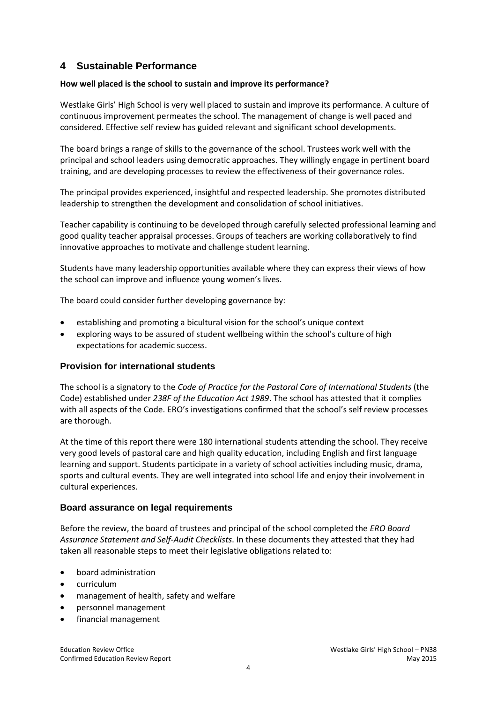### **4 Sustainable Performance**

#### **How well placed is the school to sustain and improve its performance?**

Westlake Girls' High School is very well placed to sustain and improve its performance. A culture of continuous improvement permeates the school. The management of change is well paced and considered. Effective self review has guided relevant and significant school developments.

The board brings a range of skills to the governance of the school. Trustees work well with the principal and school leaders using democratic approaches. They willingly engage in pertinent board training, and are developing processes to review the effectiveness of their governance roles.

The principal provides experienced, insightful and respected leadership. She promotes distributed leadership to strengthen the development and consolidation of school initiatives.

Teacher capability is continuing to be developed through carefully selected professional learning and good quality teacher appraisal processes. Groups of teachers are working collaboratively to find innovative approaches to motivate and challenge student learning.

Students have many leadership opportunities available where they can express their views of how the school can improve and influence young women's lives.

The board could consider further developing governance by:

- establishing and promoting a bicultural vision for the school's unique context
- exploring ways to be assured of student wellbeing within the school's culture of high expectations for academic success.

#### **Provision for international students**

The school is a signatory to the *Code of Practice for the Pastoral Care of International Students* (the Code) established under *238F of the Education Act 1989*. The school has attested that it complies with all aspects of the Code. ERO's investigations confirmed that the school's self review processes are thorough.

At the time of this report there were 180 international students attending the school. They receive very good levels of pastoral care and high quality education, including English and first language learning and support. Students participate in a variety of school activities including music, drama, sports and cultural events. They are well integrated into school life and enjoy their involvement in cultural experiences.

#### **Board assurance on legal requirements**

Before the review, the board of trustees and principal of the school completed the *ERO Board Assurance Statement and Self-Audit Checklists*. In these documents they attested that they had taken all reasonable steps to meet their legislative obligations related to:

- board administration
- curriculum
- management of health, safety and welfare
- personnel management
- financial management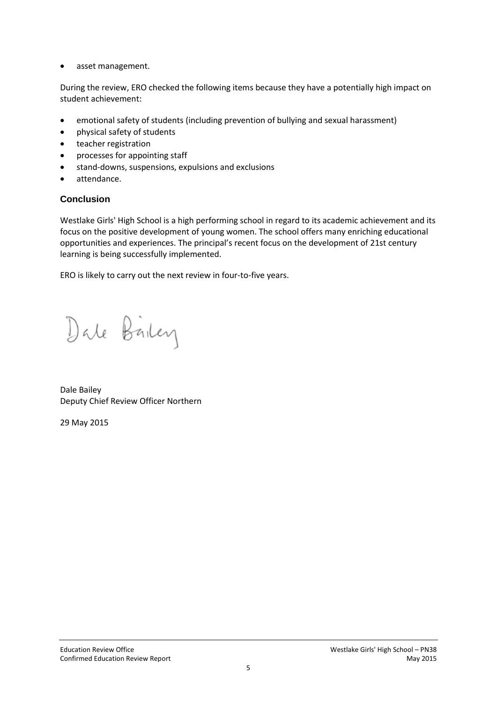• asset management.

During the review, ERO checked the following items because they have a potentially high impact on student achievement:

- emotional safety of students (including prevention of bullying and sexual harassment)
- physical safety of students
- teacher registration
- processes for appointing staff
- stand-downs, suspensions, expulsions and exclusions
- attendance.

### **Conclusion**

Westlake Girls' High School is a high performing school in regard to its academic achievement and its focus on the positive development of young women. The school offers many enriching educational opportunities and experiences. The principal's recent focus on the development of 21st century learning is being successfully implemented.

ERO is likely to carry out the next review in four-to-five years.

Dale Bailey

Dale Bailey Deputy Chief Review Officer Northern

29 May 2015